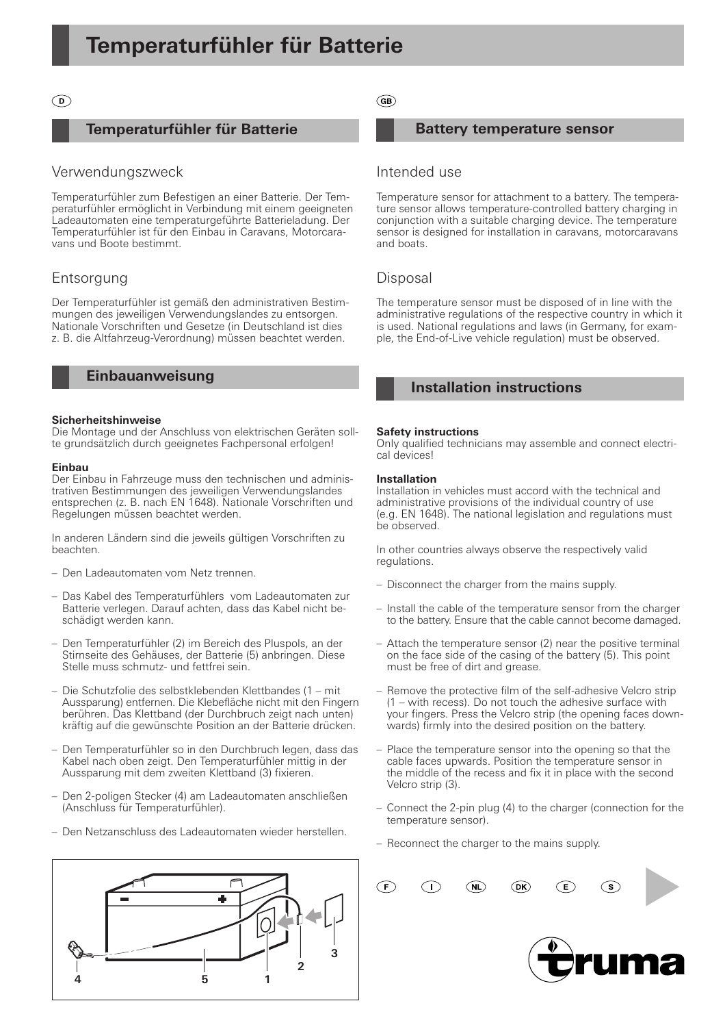### $\odot$

### **Temperaturfühler für Batterie**

### Verwendungszweck

Temperaturfühler zum Befestigen an einer Batterie. Der Temperaturfühler ermöglicht in Verbindung mit einem geeigneten Ladeautomaten eine temperaturgeführte Batterieladung. Der Temperaturfühler ist für den Einbau in Caravans, Motorcaravans und Boote bestimmt.

# Entsorgung

Der Temperaturfühler ist gemäß den administrativen Bestimmungen des jeweiligen Verwendungslandes zu entsorgen. Nationale Vorschriften und Gesetze (in Deutschland ist dies z. B. die Altfahrzeug-Verordnung) müssen beachtet werden.

### **Einbauanweisung**

#### **Sicherheitshinweise**

Die Montage und der Anschluss von elektrischen Geräten sollte grundsätzlich durch geeignetes Fachpersonal erfolgen!

#### **Einbau**

Der Einbau in Fahrzeuge muss den technischen und administrativen Bestimmungen des jeweiligen Verwendungslandes entsprechen (z. B. nach EN 1648). Nationale Vorschriften und Regelungen müssen beachtet werden.

In anderen Ländern sind die jeweils gültigen Vorschriften zu beachten.

- Den Ladeautomaten vom Netz trennen.
- Das Kabel des Temperaturfühlers vom Ladeautomaten zur Batterie verlegen. Darauf achten, dass das Kabel nicht beschädigt werden kann. –
- Den Temperaturfühler (2) im Bereich des Pluspols, an der Stirnseite des Gehäuses, der Batterie (5) anbringen. Diese Stelle muss schmutz- und fettfrei sein. –
- Die Schutzfolie des selbstklebenden Klettbandes (1 mit Aussparung) entfernen. Die Klebefläche nicht mit den Fingern berühren. Das Klettband (der Durchbruch zeigt nach unten) kräftig auf die gewünschte Position an der Batterie drücken.
- Den Temperaturfühler so in den Durchbruch legen, dass das Kabel nach oben zeigt. Den Temperaturfühler mittig in der Aussparung mit dem zweiten Klettband (3) fixieren.
- Den 2-poligen Stecker (4) am Ladeautomaten anschließen (Anschluss für Temperaturfühler).
- Den Netzanschluss des Ladeautomaten wieder herstellen. –



 $\binom{6}{5}$ 

### **Battery temperature sensor**

## Intended use

Temperature sensor for attachment to a battery. The temperature sensor allows temperature-controlled battery charging in conjunction with a suitable charging device. The temperature sensor is designed for installation in caravans, motorcaravans and boats.

### Disposal

The temperature sensor must be disposed of in line with the administrative regulations of the respective country in which it is used. National regulations and laws (in Germany, for example, the End-of-Live vehicle regulation) must be observed.

# **Installation instructions**

### **Safety instructions**

Only qualified technicians may assemble and connect electrical devices!

#### **Installation**

Installation in vehicles must accord with the technical and administrative provisions of the individual country of use (e.g. EN 1648). The national legislation and regulations must be observed.

In other countries always observe the respectively valid regulations.

- Disconnect the charger from the mains supply.
- Install the cable of the temperature sensor from the charger to the battery. Ensure that the cable cannot become damaged.
- Attach the temperature sensor (2) near the positive terminal on the face side of the casing of the battery (5). This point must be free of dirt and grease.
- Remove the protective film of the self-adhesive Velcro strip (1 – with recess). Do not touch the adhesive surface with your fingers. Press the Velcro strip (the opening faces downwards) firmly into the desired position on the battery.
- Place the temperature sensor into the opening so that the cable faces upwards. Position the temperature sensor in the middle of the recess and fix it in place with the second Velcro strip (3).
- Connect the 2-pin plug (4) to the charger (connection for the temperature sensor).
- Reconnect the charger to the mains supply.

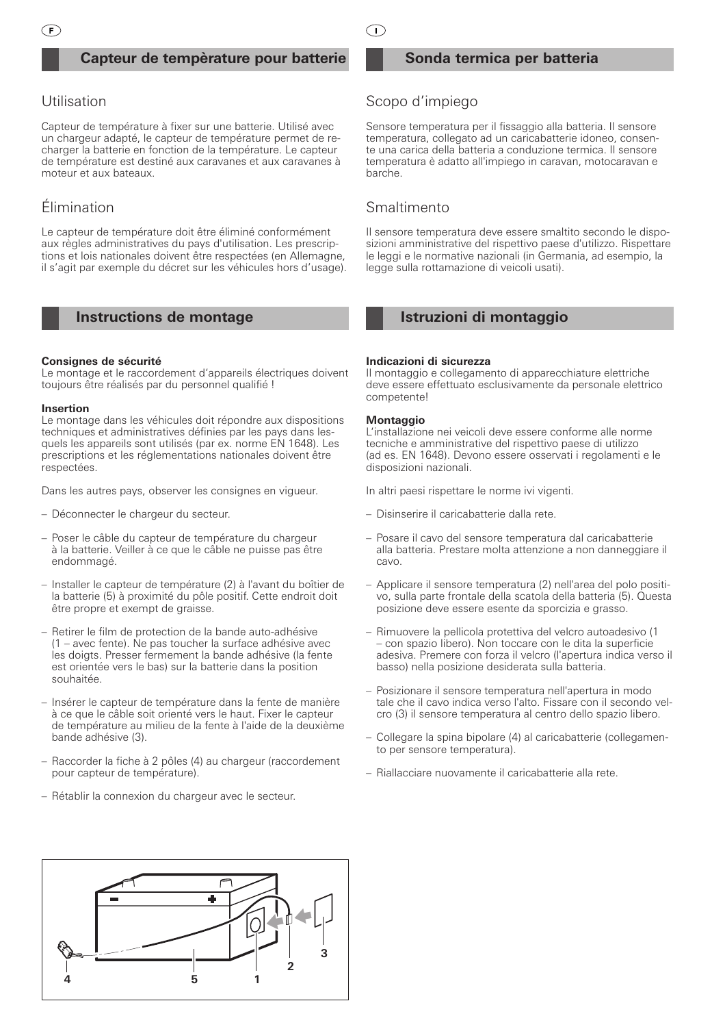# **Capteur de tempèrature pour batterie**

# Utilisation

Capteur de température à fixer sur une batterie. Utilisé avec un chargeur adapté, le capteur de température permet de recharger la batterie en fonction de la température. Le capteur de température est destiné aux caravanes et aux caravanes à moteur et aux bateaux.

# Élimination

Le capteur de température doit être éliminé conformément aux règles administratives du pays d'utilisation. Les prescriptions et lois nationales doivent être respectées (en Allemagne, il s'agit par exemple du décret sur les véhicules hors d'usage).

# **Instructions de montage**

#### **Consignes de sécurité**

Le montage et le raccordement d'appareils électriques doivent toujours être réalisés par du personnel qualifié !

#### **Insertion**

Le montage dans les véhicules doit répondre aux dispositions techniques et administratives définies par les pays dans lesquels les appareils sont utilisés (par ex. norme EN 1648). Les prescriptions et les réglementations nationales doivent être respectées.

Dans les autres pays, observer les consignes en vigueur.

- Déconnecter le chargeur du secteur. –
- Poser le câble du capteur de température du chargeur à la batterie. Veiller à ce que le câble ne puisse pas être endommagé.
- Installer le capteur de température (2) à l'avant du boîtier de la batterie (5) à proximité du pôle positif. Cette endroit doit être propre et exempt de graisse.
- Retirer le film de protection de la bande auto-adhésive (1 – avec fente). Ne pas toucher la surface adhésive avec les doigts. Presser fermement la bande adhésive (la fente est orientée vers le bas) sur la batterie dans la position souhaitée.
- Insérer le capteur de température dans la fente de manière à ce que le câble soit orienté vers le haut. Fixer le capteur de température au milieu de la fente à l'aide de la deuxième bande adhésive (3).
- Raccorder la fiche à 2 pôles (4) au chargeur (raccordement pour capteur de température).
- Rétablir la connexion du chargeur avec le secteur.

 $\bigcap$ 

### **Sonda termica per batteria**

# Scopo d'impiego

Sensore temperatura per il fissaggio alla batteria. Il sensore temperatura, collegato ad un caricabatterie idoneo, consente una carica della batteria a conduzione termica. Il sensore temperatura è adatto all'impiego in caravan, motocaravan e barche.

# **Smaltimento**

Il sensore temperatura deve essere smaltito secondo le disposizioni amministrative del rispettivo paese d'utilizzo. Rispettare le leggi e le normative nazionali (in Germania, ad esempio, la legge sulla rottamazione di veicoli usati).

# **Istruzioni di montaggio**

#### **Indicazioni di sicurezza**

Il montaggio e collegamento di apparecchiature elettriche deve essere effettuato esclusivamente da personale elettrico competente!

#### **Montaggio**

L'installazione nei veicoli deve essere conforme alle norme tecniche e amministrative del rispettivo paese di utilizzo (ad es. EN 1648). Devono essere osservati i regolamenti e le disposizioni nazionali.

In altri paesi rispettare le norme ivi vigenti.

- Disinserire il caricabatterie dalla rete.
- Posare il cavo del sensore temperatura dal caricabatterie alla batteria. Prestare molta attenzione a non danneggiare il cavo.
- Applicare il sensore temperatura (2) nell'area del polo positi-– vo, sulla parte frontale della scatola della batteria (5). Questa posizione deve essere esente da sporcizia e grasso.
- Rimuovere la pellicola protettiva del velcro autoadesivo (1 – con spazio libero). Non toccare con le dita la superficie adesiva. Premere con forza il velcro (l'apertura indica verso il basso) nella posizione desiderata sulla batteria.
- Posizionare il sensore temperatura nell'apertura in modo tale che il cavo indica verso l'alto. Fissare con il secondo velcro (3) il sensore temperatura al centro dello spazio libero.
- Collegare la spina bipolare (4) al caricabatterie (collegamen-– to per sensore temperatura).
- Riallacciare nuovamente il caricabatterie alla rete.

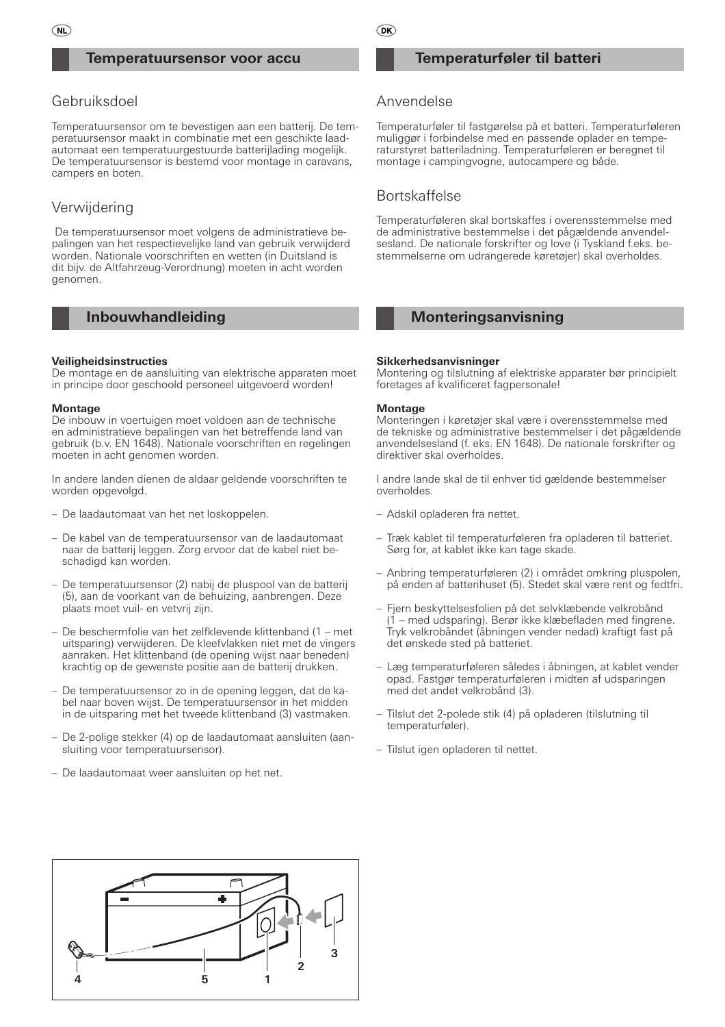### **Temperatuursensor voor accu**

# Gebruiksdoel

Temperatuursensor om te bevestigen aan een batterij. De temperatuursensor maakt in combinatie met een geschikte laadautomaat een temperatuurgestuurde batterijlading mogelijk. De temperatuursensor is bestemd voor montage in caravans, campers en boten.

# **Verwijdering**

 De temperatuursensor moet volgens de administratieve bepalingen van het respectievelijke land van gebruik verwijderd worden. Nationale voorschriften en wetten (in Duitsland is dit bijv. de Altfahrzeug-Verordnung) moeten in acht worden genomen.

# **Inbouwhandleiding**

#### **Veiligheidsinstructies**

De montage en de aansluiting van elektrische apparaten moet in principe door geschoold personeel uitgevoerd worden!

#### **Montage**

De inbouw in voertuigen moet voldoen aan de technische en administratieve bepalingen van het betreffende land van gebruik (b.v. EN 1648). Nationale voorschriften en regelingen moeten in acht genomen worden.

In andere landen dienen de aldaar geldende voorschriften te worden opgevolgd.

- De laadautomaat van het net loskoppelen.
- De kabel van de temperatuursensor van de laadautomaat naar de batterij leggen. Zorg ervoor dat de kabel niet beschadigd kan worden.
- De temperatuursensor (2) nabij de pluspool van de batterij (5), aan de voorkant van de behuizing, aanbrengen. Deze plaats moet vuil- en vetvrij zijn.
- De beschermfolie van het zelfklevende klittenband (1 met uitsparing) verwijderen. De kleefvlakken niet met de vingers aanraken. Het klittenband (de opening wijst naar beneden) krachtig op de gewenste positie aan de batterij drukken.
- De temperatuursensor zo in de opening leggen, dat de ka-– bel naar boven wijst. De temperatuursensor in het midden in de uitsparing met het tweede klittenband (3) vastmaken.
- De 2-polige stekker (4) op de laadautomaat aansluiten (aan-– sluiting voor temperatuursensor).
- De laadautomaat weer aansluiten op het net.

### **Temperaturføler til batteri**

# Anvendelse

Temperaturføler til fastgørelse på et batteri. Temperaturføleren muliggør i forbindelse med en passende oplader en temperaturstyret batteriladning. Temperaturføleren er beregnet til montage i campingvogne, autocampere og både.

### Bortskaffelse

Temperaturføleren skal bortskaffes i overensstemmelse med de administrative bestemmelse i det pågældende anvendelsesland. De nationale forskrifter og love (i Tyskland f.eks. bestemmelserne om udrangerede køretøjer) skal overholdes.

# **Monteringsanvisning**

#### **Sikkerhedsanvisninger**

Montering og tilslutning af elektriske apparater bør principielt foretages af kvalificeret fagpersonale!

#### **Montage**

Monteringen i køretøjer skal være i overensstemmelse med de tekniske og administrative bestemmelser i det pågældende anvendelsesland (f. eks. EN 1648). De nationale forskrifter og direktiver skal overholdes.

I andre lande skal de til enhver tid gældende bestemmelser overholdes.

- Adskil opladeren fra nettet. –
- Træk kablet til temperaturføleren fra opladeren til batteriet. Sørg for, at kablet ikke kan tage skade.
- Anbring temperaturføleren (2) i området omkring pluspolen, på enden af batterihuset (5). Stedet skal være rent og fedtfri.
- Fjern beskyttelsesfolien på det selvklæbende velkrobånd (1 – med udsparing). Berør ikke klæbefladen med fingrene. Tryk velkrobåndet (åbningen vender nedad) kraftigt fast på det ønskede sted på batteriet.
- Læg temperaturføleren således i åbningen, at kablet vender opad. Fastgør temperaturføleren i midten af udsparingen med det andet velkrobånd (3).
- Tilslut det 2-polede stik (4) på opladeren (tilslutning til temperaturføler).
- Tilslut igen opladeren til nettet.